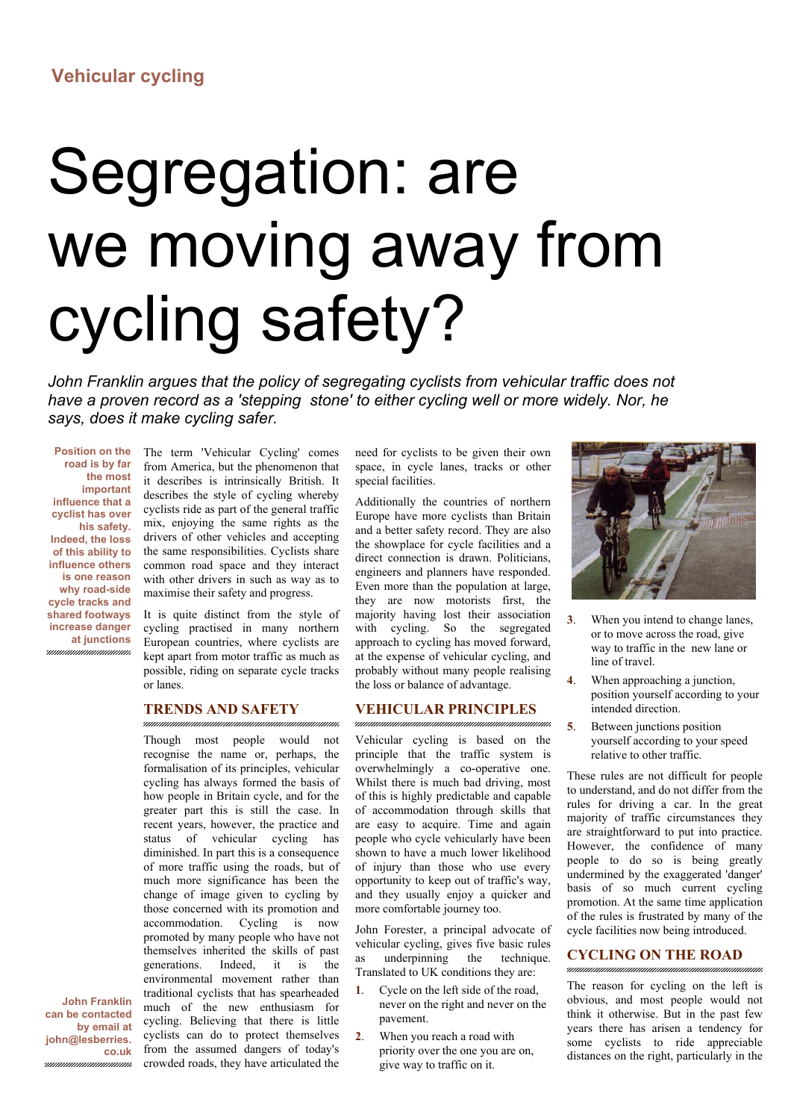## **Vehicular cycling**

# Segregation: are we moving away from cycling safety?

*John Franklin argues that the policy of segregating cyclists from vehicular traffic does not have a proven record as a 'stepping stone' to either cycling well or more widely. Nor, he says, does it make cycling safer.*

**Position on the road is by far the most important influence that a cyclist has over his safety. Indeed, the loss of this ability to influence others is one reason why road-side cycle tracks and shared footways increase danger at junctions**

unnunnun

The term 'Vehicular Cycling' comes from America, but the phenomenon that it describes is intrinsically British. It describes the style of cycling whereby cyclists ride as part of the general traffic mix, enjoying the same rights as the drivers of other vehicles and accepting the same responsibilities. Cyclists share common road space and they interact with other drivers in such as way as to maximise their safety and progress.

It is quite distinct from the style of cycling practised in many northern European countries, where cyclists are kept apart from motor traffic as much as possible, riding on separate cycle tracks or lanes.

#### **TRENDS AND SAFETY**

Though most people would not recognise the name or, perhaps, the formalisation of its principles, vehicular cycling has always formed the basis of how people in Britain cycle, and for the greater part this is still the case. In recent years, however, the practice and status of vehicular cycling has diminished. In part this is a consequence of more traffic using the roads, but of much more significance has been the change of image given to cycling by those concerned with its promotion and accommodation. Cycling is now promoted by many people who have not themselves inherited the skills of past generations. Indeed, it is the environmental movement rather than traditional cyclists that has spearheaded much of the new enthusiasm for cycling. Believing that there is little cyclists can do to protect themselves from the assumed dangers of today's crowded roads, they have articulated the

need for cyclists to be given their own space, in cycle lanes, tracks or other special facilities.

Additionally the countries of northern Europe have more cyclists than Britain and a better safety record. They are also the showplace for cycle facilities and a direct connection is drawn. Politicians, engineers and planners have responded. Even more than the population at large, they are now motorists first, the majority having lost their association with cycling. So the segregated approach to cycling has moved forward, at the expense of vehicular cycling, and probably without many people realising the loss or balance of advantage.

#### **VEHICULAR PRINCIPLES**

Vehicular cycling is based on the principle that the traffic system is overwhelmingly a co-operative one. Whilst there is much bad driving, most of this is highly predictable and capable of accommodation through skills that are easy to acquire. Time and again people who cycle vehicularly have been shown to have a much lower likelihood of injury than those who use every opportunity to keep out of traffic's way, and they usually enjoy a quicker and more comfortable journey too.

John Forester, a principal advocate of vehicular cycling, gives five basic rules as underpinning the technique. Translated to UK conditions they are:

- **1**. Cycle on the left side of the road, never on the right and never on the pavement.
- **2**. When you reach a road with priority over the one you are on, give way to traffic on it.



- **3**. When you intend to change lanes, or to move across the road, give way to traffic in the new lane or line of travel.
- **4**. When approaching a junction, position yourself according to your intended direction.
- **5**. Between junctions position yourself according to your speed relative to other traffic.

These rules are not difficult for people to understand, and do not differ from the rules for driving a car. In the great majority of traffic circumstances they are straightforward to put into practice. However, the confidence of many people to do so is being greatly undermined by the exaggerated 'danger' basis of so much current cycling promotion. At the same time application of the rules is frustrated by many of the cycle facilities now being introduced.

#### **CYCLING ON THE ROAD**

The reason for cycling on the left is obvious, and most people would not think it otherwise. But in the past few years there has arisen a tendency for some cyclists to ride appreciable distances on the right, particularly in the

**John Franklin can be contacted by email at john@lesberries. co.uk**m.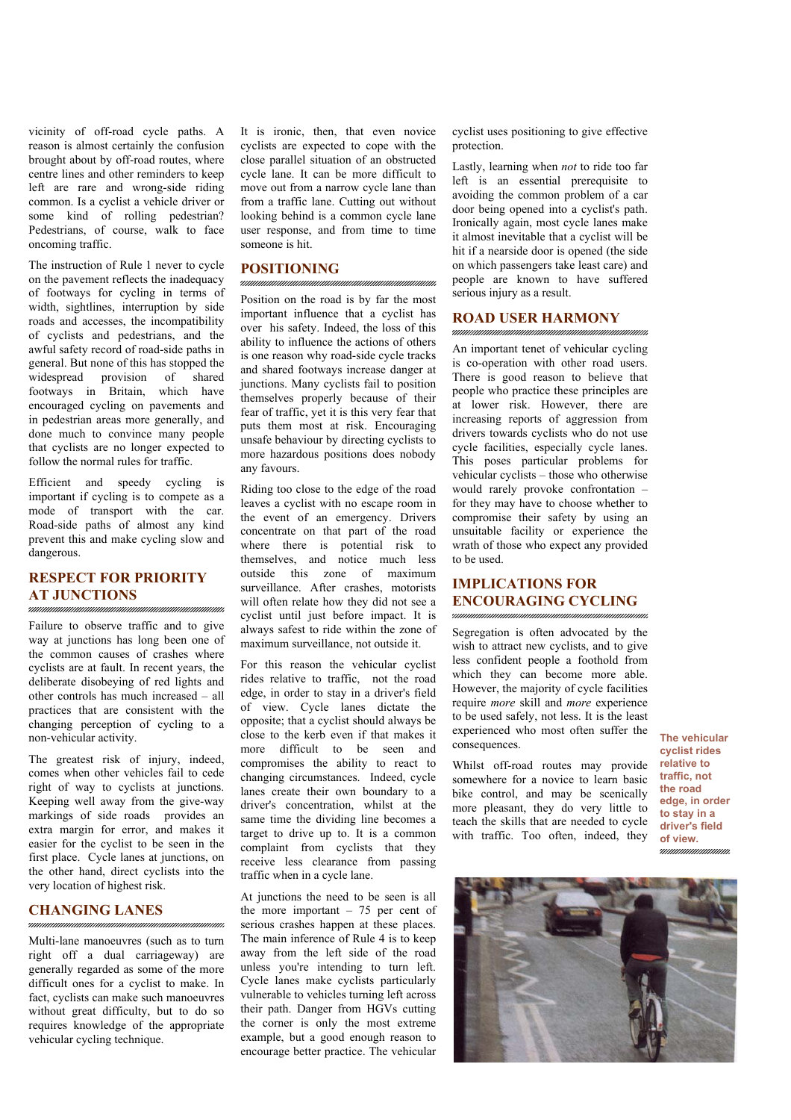vicinity of off-road cycle paths. A reason is almost certainly the confusion brought about by off-road routes, where centre lines and other reminders to keep left are rare and wrong-side riding common. Is a cyclist a vehicle driver or some kind of rolling pedestrian? Pedestrians, of course, walk to face oncoming traffic.

The instruction of Rule 1 never to cycle on the pavement reflects the inadequacy of footways for cycling in terms of width, sightlines, interruption by side roads and accesses, the incompatibility of cyclists and pedestrians, and the awful safety record of road-side paths in general. But none of this has stopped the widespread provision of shared footways in Britain, which have encouraged cycling on pavements and in pedestrian areas more generally, and done much to convince many people that cyclists are no longer expected to follow the normal rules for traffic.

Efficient and speedy cycling is important if cycling is to compete as a mode of transport with the car. Road-side paths of almost any kind prevent this and make cycling slow and dangerous.

### **RESPECT FOR PRIORITY AT JUNCTIONS**

Failure to observe traffic and to give way at junctions has long been one of the common causes of crashes where cyclists are at fault. In recent years, the deliberate disobeying of red lights and other controls has much increased – all practices that are consistent with the changing perception of cycling to a non-vehicular activity.

The greatest risk of injury, indeed, comes when other vehicles fail to cede right of way to cyclists at junctions. Keeping well away from the give-way markings of side roads provides an extra margin for error, and makes it easier for the cyclist to be seen in the first place. Cycle lanes at junctions, on the other hand, direct cyclists into the very location of highest risk.

#### **CHANGING LANES**

Multi-lane manoeuvres (such as to turn right off a dual carriageway) are generally regarded as some of the more difficult ones for a cyclist to make. In fact, cyclists can make such manoeuvres without great difficulty, but to do so requires knowledge of the appropriate vehicular cycling technique.

It is ironic, then, that even novice cyclists are expected to cope with the close parallel situation of an obstructed cycle lane. It can be more difficult to move out from a narrow cycle lane than from a traffic lane. Cutting out without looking behind is a common cycle lane user response, and from time to time someone is hit.

#### **POSITIONING**

Position on the road is by far the most important influence that a cyclist has over his safety. Indeed, the loss of this ability to influence the actions of others is one reason why road-side cycle tracks and shared footways increase danger at junctions. Many cyclists fail to position themselves properly because of their fear of traffic, yet it is this very fear that puts them most at risk. Encouraging unsafe behaviour by directing cyclists to more hazardous positions does nobody any favours.

Riding too close to the edge of the road leaves a cyclist with no escape room in the event of an emergency. Drivers concentrate on that part of the road where there is potential risk to themselves, and notice much less outside this zone of maximum surveillance. After crashes, motorists will often relate how they did not see a cyclist until just before impact. It is always safest to ride within the zone of maximum surveillance, not outside it.

For this reason the vehicular cyclist rides relative to traffic, not the road edge, in order to stay in a driver's field of view. Cycle lanes dictate the opposite; that a cyclist should always be close to the kerb even if that makes it more difficult to be seen and compromises the ability to react to changing circumstances. Indeed, cycle lanes create their own boundary to a driver's concentration, whilst at the same time the dividing line becomes a target to drive up to. It is a common complaint from cyclists that they receive less clearance from passing traffic when in a cycle lane.

At junctions the need to be seen is all the more important  $-75$  per cent of serious crashes happen at these places. The main inference of Rule 4 is to keep away from the left side of the road unless you're intending to turn left. Cycle lanes make cyclists particularly vulnerable to vehicles turning left across their path. Danger from HGVs cutting the corner is only the most extreme example, but a good enough reason to encourage better practice. The vehicular

cyclist uses positioning to give effective protection.

Lastly, learning when *not* to ride too far left is an essential prerequisite to avoiding the common problem of a car door being opened into a cyclist's path. Ironically again, most cycle lanes make it almost inevitable that a cyclist will be hit if a nearside door is opened (the side on which passengers take least care) and people are known to have suffered serious injury as a result.

#### **ROAD USER HARMONY**

An important tenet of vehicular cycling is co-operation with other road users. There is good reason to believe that people who practice these principles are at lower risk. However, there are increasing reports of aggression from drivers towards cyclists who do not use cycle facilities, especially cycle lanes. This poses particular problems for vehicular cyclists – those who otherwise would rarely provoke confrontation – for they may have to choose whether to compromise their safety by using an unsuitable facility or experience the wrath of those who expect any provided to be used.

## **IMPLICATIONS FOR ENCOURAGING CYCLING**

Segregation is often advocated by the wish to attract new cyclists, and to give less confident people a foothold from which they can become more able. However, the majority of cycle facilities require *more* skill and *more* experience to be used safely, not less. It is the least experienced who most often suffer the consequences.

Whilst off-road routes may provide somewhere for a novice to learn basic bike control, and may be scenically more pleasant, they do very little to teach the skills that are needed to cycle with traffic. Too often, indeed, they

**The vehicular cyclist rides relative to traffic, not the road edge, in order to stay in a driver's field of view.**